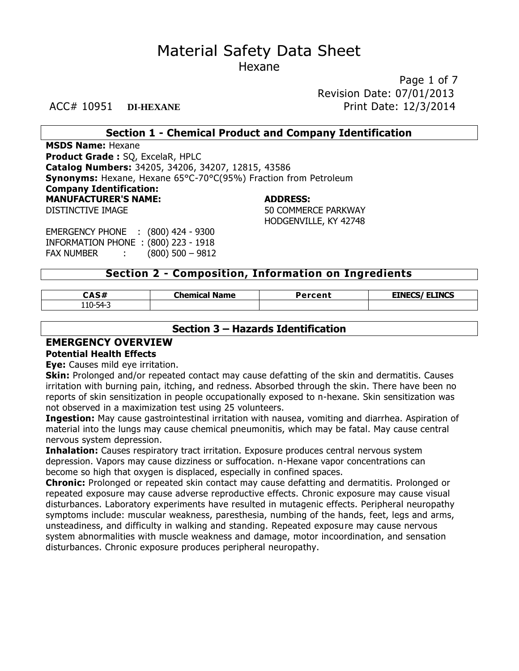Page 1 of 7 Revision Date: 07/01/2013 ACC# 10951 **DI-HEXANE** Print Date: 12/3/2014

#### **Section 1 - Chemical Product and Company Identification**

**MSDS Name:** Hexane **Product Grade :** SQ, ExcelaR, HPLC **Catalog Numbers:** 34205, 34206, 34207, 12815, 43586 **Synonyms:** Hexane, Hexane 65°C-70°C(95%) Fraction from Petroleum **Company Identification: MANUFACTURER'S NAME: ADDRESS:** DISTINCTIVE IMAGE THE SECOND SO COMMERCE PARKWAY HODGENVILLE, KY 42748

EMERGENCY PHONE : (800) 424 - 9300 INFORMATION PHONE : (800) 223 - 1918 FAX NUMBER : (800) 500 – 9812

#### **Section 2 - Composition, Information on Ingredients**

| <b>CAS#</b>    | Chemical.<br><b>Name</b> | Percent | <b>EINECS/ ELINCS</b> |
|----------------|--------------------------|---------|-----------------------|
| $110 - 54 - ?$ |                          |         |                       |

#### **Section 3 – Hazards Identification**

#### **EMERGENCY OVERVIEW**

#### **Potential Health Effects**

**Eye:** Causes mild eye irritation.

**Skin:** Prolonged and/or repeated contact may cause defatting of the skin and dermatitis. Causes irritation with burning pain, itching, and redness. Absorbed through the skin. There have been no reports of skin sensitization in people occupationally exposed to n-hexane. Skin sensitization was not observed in a maximization test using 25 volunteers.

**Ingestion:** May cause gastrointestinal irritation with nausea, vomiting and diarrhea. Aspiration of material into the lungs may cause chemical pneumonitis, which may be fatal. May cause central nervous system depression.

**Inhalation:** Causes respiratory tract irritation. Exposure produces central nervous system depression. Vapors may cause dizziness or suffocation. n-Hexane vapor concentrations can become so high that oxygen is displaced, especially in confined spaces.

**Chronic:** Prolonged or repeated skin contact may cause defatting and dermatitis. Prolonged or repeated exposure may cause adverse reproductive effects. Chronic exposure may cause visual disturbances. Laboratory experiments have resulted in mutagenic effects. Peripheral neuropathy symptoms include: muscular weakness, paresthesia, numbing of the hands, feet, legs and arms, unsteadiness, and difficulty in walking and standing. Repeated exposure may cause nervous system abnormalities with muscle weakness and damage, motor incoordination, and sensation disturbances. Chronic exposure produces peripheral neuropathy.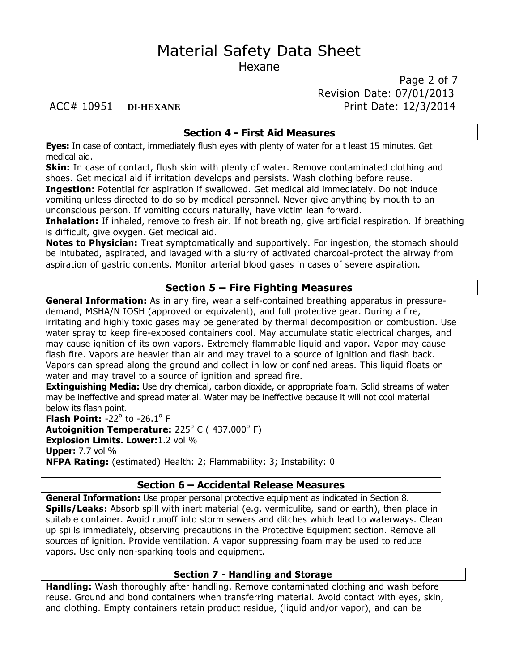Page 2 of 7 Revision Date: 07/01/2013 ACC# 10951 **DI-HEXANE** Print Date: 12/3/2014

#### **Section 4 - First Aid Measures**

**Eyes:** In case of contact, immediately flush eyes with plenty of water for a t least 15 minutes. Get medical aid.

**Skin:** In case of contact, flush skin with plenty of water. Remove contaminated clothing and shoes. Get medical aid if irritation develops and persists. Wash clothing before reuse. **Ingestion:** Potential for aspiration if swallowed. Get medical aid immediately. Do not induce vomiting unless directed to do so by medical personnel. Never give anything by mouth to an unconscious person. If vomiting occurs naturally, have victim lean forward.

**Inhalation:** If inhaled, remove to fresh air. If not breathing, give artificial respiration. If breathing is difficult, give oxygen. Get medical aid.

**Notes to Physician:** Treat symptomatically and supportively. For ingestion, the stomach should be intubated, aspirated, and lavaged with a slurry of activated charcoal-protect the airway from aspiration of gastric contents. Monitor arterial blood gases in cases of severe aspiration.

#### **Section 5 – Fire Fighting Measures**

**General Information:** As in any fire, wear a self-contained breathing apparatus in pressuredemand, MSHA/N IOSH (approved or equivalent), and full protective gear. During a fire, irritating and highly toxic gases may be generated by thermal decomposition or combustion. Use water spray to keep fire-exposed containers cool. May accumulate static electrical charges, and may cause ignition of its own vapors. Extremely flammable liquid and vapor. Vapor may cause flash fire. Vapors are heavier than air and may travel to a source of ignition and flash back. Vapors can spread along the ground and collect in low or confined areas. This liquid floats on water and may travel to a source of ignition and spread fire.

**Extinguishing Media:** Use dry chemical, carbon dioxide, or appropriate foam. Solid streams of water may be ineffective and spread material. Water may be ineffective because it will not cool material below its flash point.

**Flash Point: -22<sup>°</sup> to -26.1<sup>°</sup> F Autoignition Temperature:** 225<sup>°</sup> C ( 437.000<sup>°</sup> F) **Explosion Limits. Lower:**1.2 vol % **Upper:** 7.7 vol % **NFPA Rating:** (estimated) Health: 2; Flammability: 3; Instability: 0

#### **Section 6 – Accidental Release Measures**

**General Information:** Use proper personal protective equipment as indicated in Section 8. **Spills/Leaks:** Absorb spill with inert material (e.g. vermiculite, sand or earth), then place in suitable container. Avoid runoff into storm sewers and ditches which lead to waterways. Clean up spills immediately, observing precautions in the Protective Equipment section. Remove all sources of ignition. Provide ventilation. A vapor suppressing foam may be used to reduce vapors. Use only non-sparking tools and equipment.

### **Section 7 - Handling and Storage**

**Handling:** Wash thoroughly after handling. Remove contaminated clothing and wash before reuse. Ground and bond containers when transferring material. Avoid contact with eyes, skin, and clothing. Empty containers retain product residue, (liquid and/or vapor), and can be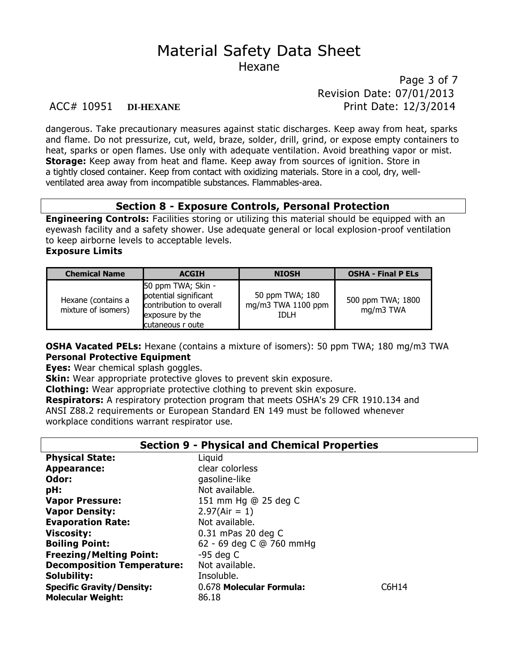Page 3 of 7 Revision Date: 07/01/2013 ACC# 10951 **DI-HEXANE** Print Date: 12/3/2014

dangerous. Take precautionary measures against static discharges. Keep away from heat, sparks and flame. Do not pressurize, cut, weld, braze, solder, drill, grind, or expose empty containers to heat, sparks or open flames. Use only with adequate ventilation. Avoid breathing vapor or mist. **Storage:** Keep away from heat and flame. Keep away from sources of ignition. Store in a tightly closed container. Keep from contact with oxidizing materials. Store in a cool, dry, wellventilated area away from incompatible substances. Flammables-area.

#### **Section 8 - Exposure Controls, Personal Protection**

**Engineering Controls:** Facilities storing or utilizing this material should be equipped with an eyewash facility and a safety shower. Use adequate general or local explosion-proof ventilation to keep airborne levels to acceptable levels.

#### **Exposure Limits**

| <b>Chemical Name</b>                      | <b>ACGIH</b>                                                                                                  | <b>NIOSH</b>                                   | <b>OSHA - Final P ELs</b>      |
|-------------------------------------------|---------------------------------------------------------------------------------------------------------------|------------------------------------------------|--------------------------------|
| Hexane (contains a<br>mixture of isomers) | 50 ppm TWA; Skin -<br>potential significant<br>contribution to overall<br>exposure by the<br>cutaneous r oute | 50 ppm TWA; 180<br>mg/m3 TWA 1100 ppm<br>tdi h | 500 ppm TWA; 1800<br>mg/m3 TWA |

**OSHA Vacated PELs:** Hexane (contains a mixture of isomers): 50 ppm TWA; 180 mg/m3 TWA **Personal Protective Equipment**

**Eyes:** Wear chemical splash goggles.

**Skin:** Wear appropriate protective gloves to prevent skin exposure.

**Clothing:** Wear appropriate protective clothing to prevent skin exposure. **Respirators:** A respiratory protection program that meets OSHA's 29 CFR 1910.134 and ANSI Z88.2 requirements or European Standard EN 149 must be followed whenever workplace conditions warrant respirator use.

#### **Section 9 - Physical and Chemical Properties**

| <b>Physical State:</b>            | Liquid                   |       |
|-----------------------------------|--------------------------|-------|
| <b>Appearance:</b>                | clear colorless          |       |
| Odor:                             | gasoline-like            |       |
| pH:                               | Not available.           |       |
| <b>Vapor Pressure:</b>            | 151 mm Hg @ 25 deg C     |       |
| <b>Vapor Density:</b>             | $2.97(Air = 1)$          |       |
| <b>Evaporation Rate:</b>          | Not available.           |       |
| <b>Viscosity:</b>                 | 0.31 mPas 20 deg C       |       |
| <b>Boiling Point:</b>             | 62 - 69 deg C @ 760 mmHg |       |
| <b>Freezing/Melting Point:</b>    | $-95$ deg C              |       |
| <b>Decomposition Temperature:</b> | Not available.           |       |
| Solubility:                       | Insoluble.               |       |
| <b>Specific Gravity/Density:</b>  | 0.678 Molecular Formula: | C6H14 |
| <b>Molecular Weight:</b>          | 86.18                    |       |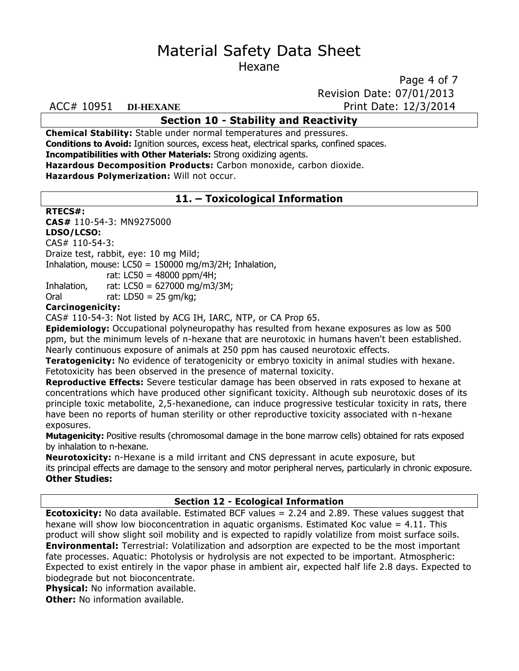Page 4 of 7 Revision Date: 07/01/2013

#### ACC# 10951 **DI-HEXANE** Print Date: 12/3/2014

## **Section 10 - Stability and Reactivity**

**Chemical Stability:** Stable under normal temperatures and pressures. **Conditions to Avoid:** Ignition sources, excess heat, electrical sparks, confined spaces. **Incompatibilities with Other Materials:** Strong oxidizing agents. **Hazardous Decomposition Products:** Carbon monoxide, carbon dioxide.

**Hazardous Polymerization:** Will not occur.

### **11. – Toxicological Information**

#### **RTECS#:**

**CAS#** 110-54-3: MN9275000

#### **LDSO/LCSO:**

CAS# 110-54-3:

Draize test, rabbit, eye: 10 mg Mild;

Inhalation, mouse:  $LC50 = 150000$  mg/m3/2H; Inhalation,

rat: LC50 = 48000 ppm/4H;

Inhalation, rat: LC50 = 627000 mg/m3/3M;

Oral  $rat: LDS0 = 25$  gm/kg;

#### **Carcinogenicity:**

CAS# 110-54-3: Not listed by ACG IH, IARC, NTP, or CA Prop 65.

**Epidemiology:** Occupational polyneuropathy has resulted from hexane exposures as low as 500 ppm, but the minimum levels of n-hexane that are neurotoxic in humans haven't been established. Nearly continuous exposure of animals at 250 ppm has caused neurotoxic effects.

**Teratogenicity:** No evidence of teratogenicity or embryo toxicity in animal studies with hexane. Fetotoxicity has been observed in the presence of maternal toxicity.

**Reproductive Effects:** Severe testicular damage has been observed in rats exposed to hexane at concentrations which have produced other significant toxicity. Although sub neurotoxic doses of its principle toxic metabolite, 2,5-hexanedione, can induce progressive testicular toxicity in rats, there have been no reports of human sterility or other reproductive toxicity associated with n-hexane exposures.

**Mutagenicity:** Positive results (chromosomal damage in the bone marrow cells) obtained for rats exposed by inhalation to n-hexane.

**Neurotoxicity:** n-Hexane is a mild irritant and CNS depressant in acute exposure, but its principal effects are damage to the sensory and motor peripheral nerves, particularly in chronic exposure. **Other Studies:**

#### **Section 12 - Ecological Information**

**Ecotoxicity:** No data available. Estimated BCF values = 2.24 and 2.89. These values suggest that hexane will show low bioconcentration in aquatic organisms. Estimated Koc value  $= 4.11$ . This product will show slight soil mobility and is expected to rapidly volatilize from moist surface soils. **Environmental:** Terrestrial: Volatilization and adsorption are expected to be the most important fate processes. Aquatic: Photolysis or hydrolysis are not expected to be important. Atmospheric: Expected to exist entirely in the vapor phase in ambient air, expected half life 2.8 days. Expected to biodegrade but not bioconcentrate.

**Physical:** No information available.

**Other:** No information available.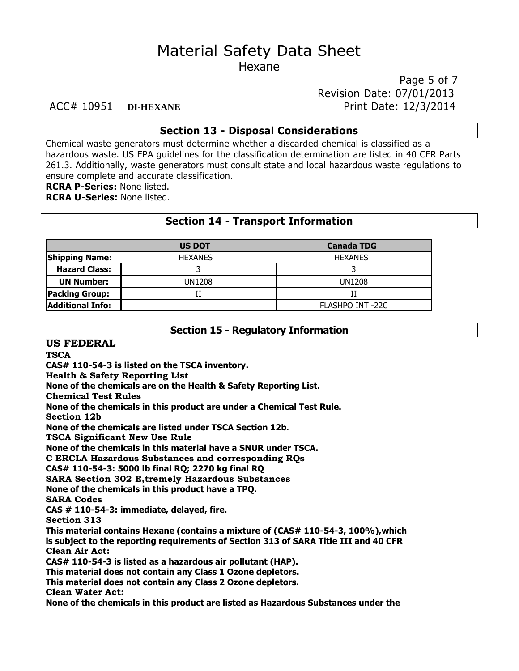Page 5 of 7 Revision Date: 07/01/2013 ACC# 10951 **DI-HEXANE** Print Date: 12/3/2014

#### **Section 13 - Disposal Considerations**

Chemical waste generators must determine whether a discarded chemical is classified as a hazardous waste. US EPA guidelines for the classification determination are listed in 40 CFR Parts 261.3. Additionally, waste generators must consult state and local hazardous waste regulations to ensure complete and accurate classification.

**RCRA P-Series:** None listed.

**RCRA U-Series:** None listed.

#### **Section 14 - Transport Information**

|                         | <b>US DOT</b>  | <b>Canada TDG</b> |
|-------------------------|----------------|-------------------|
| <b>Shipping Name:</b>   | <b>HEXANES</b> | <b>HEXANES</b>    |
| <b>Hazard Class:</b>    |                |                   |
| <b>UN Number:</b>       | UN1208         | <b>UN1208</b>     |
| <b>Packing Group:</b>   |                |                   |
| <b>Additional Info:</b> |                | FLASHPO INT -22C  |

# **Section 15 - Regulatory Information**

**US FEDERAL**

**TSCA**

**CAS# 110-54-3 is listed on the TSCA inventory.**

**Health & Safety Reporting List**

**None of the chemicals are on the Health & Safety Reporting List.**

**Chemical Test Rules**

**None of the chemicals in this product are under a Chemical Test Rule.**

**Section 12b**

**None of the chemicals are listed under TSCA Section 12b.**

**TSCA Significant New Use Rule**

**None of the chemicals in this material have a SNUR under TSCA.**

**C ERCLA Hazardous Substances and corresponding RQs**

**CAS# 110-54-3: 5000 lb final RQ; 2270 kg final RQ**

**SARA Section 302 E,tremely Hazardous Substances**

**None of the chemicals in this product have a TPQ.**

**SARA Codes**

**CAS # 110-54-3: immediate, delayed, fire.**

**Section 313**

**This material contains Hexane (contains a mixture of (CAS# 110-54-3, 100%),which is subject to the reporting requirements of Section 313 of SARA Title III and 40 CFR Clean Air Act:**

**CAS# 110-54-3 is listed as a hazardous air pollutant (HAP).**

**This material does not contain any Class 1 Ozone depletors.**

**This material does not contain any Class 2 Ozone depletors.**

**Clean Water Act:**

**None of the chemicals in this product are listed as Hazardous Substances under the**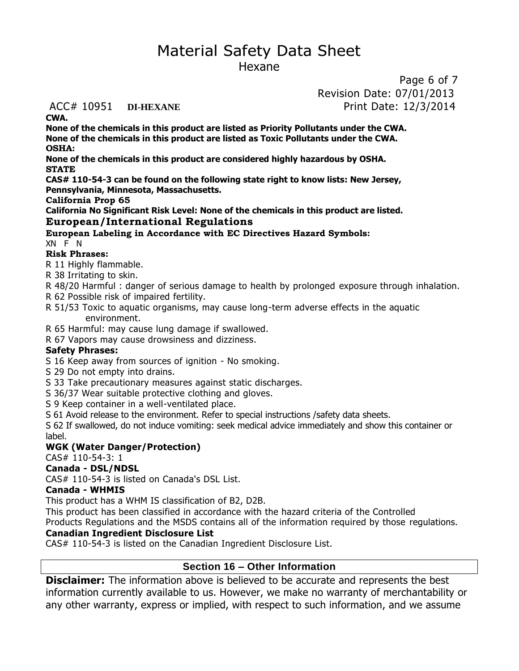# Material Safety Data Sheet

Hexane

Page 6 of 7 Revision Date: 07/01/2013 ACC# 10951 **DI-HEXANE** Print Date: 12/3/2014

**CWA.**

**None of the chemicals in this product are listed as Priority Pollutants under the CWA. None of the chemicals in this product are listed as Toxic Pollutants under the CWA. OSHA:**

**None of the chemicals in this product are considered highly hazardous by OSHA. STATE**

**CAS# 110-54-3 can be found on the following state right to know lists: New Jersey, Pennsylvania, Minnesota, Massachusetts.**

**California Prop 65**

**California No Significant Risk Level: None of the chemicals in this product are listed.**

#### **European/International Regulations**

**European Labeling in Accordance with EC Directives Hazard Symbols:**

XN F N

#### **Risk Phrases:**

R 11 Highly flammable.

R 38 Irritating to skin.

R 48/20 Harmful : danger of serious damage to health by prolonged exposure through inhalation.

R 62 Possible risk of impaired fertility.

R 51/53 Toxic to aquatic organisms, may cause long-term adverse effects in the aquatic environment.

R 65 Harmful: may cause lung damage if swallowed.

R 67 Vapors may cause drowsiness and dizziness.

#### **Safety Phrases:**

S 16 Keep away from sources of ignition - No smoking.

S 29 Do not empty into drains.

S 33 Take precautionary measures against static discharges.

S 36/37 Wear suitable protective clothing and gloves.

S 9 Keep container in a well-ventilated place.

S 61 Avoid release to the environment. Refer to special instructions /safety data sheets.

S 62 If swallowed, do not induce vomiting: seek medical advice immediately and show this container or label.

### **WGK (Water Danger/Protection)**

#### CAS# 110-54-3: 1

### **Canada - DSL/NDSL**

CAS# 110-54-3 is listed on Canada's DSL List.

#### **Canada - WHMIS**

This product has a WHM IS classification of B2, D2B.

This product has been classified in accordance with the hazard criteria of the Controlled

Products Regulations and the MSDS contains all of the information required by those regulations.

### **Canadian Ingredient Disclosure List**

CAS# 110-54-3 is listed on the Canadian Ingredient Disclosure List.

### **Section 16 – Other Information**

**Disclaimer:** The information above is believed to be accurate and represents the best information currently available to us. However, we make no warranty of merchantability or any other warranty, express or implied, with respect to such information, and we assume